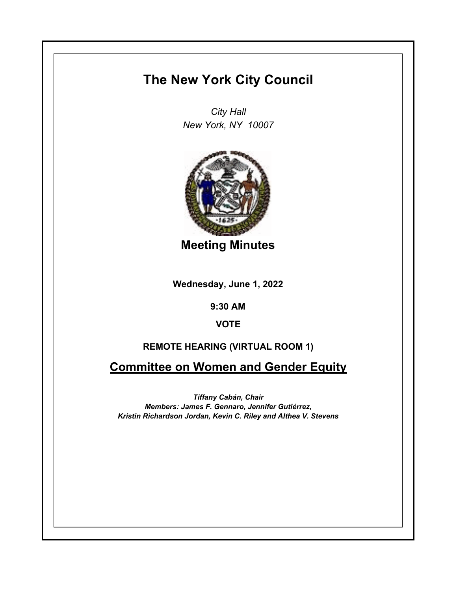## **The New York City Council**

*City Hall New York, NY 10007*



**Meeting Minutes**

**Wednesday, June 1, 2022**

**9:30 AM**

**VOTE**

## **REMOTE HEARING (VIRTUAL ROOM 1)**

**Committee on Women and Gender Equity**

*Tiffany Cabán, Chair Members: James F. Gennaro, Jennifer Gutiérrez, Kristin Richardson Jordan, Kevin C. Riley and Althea V. Stevens*